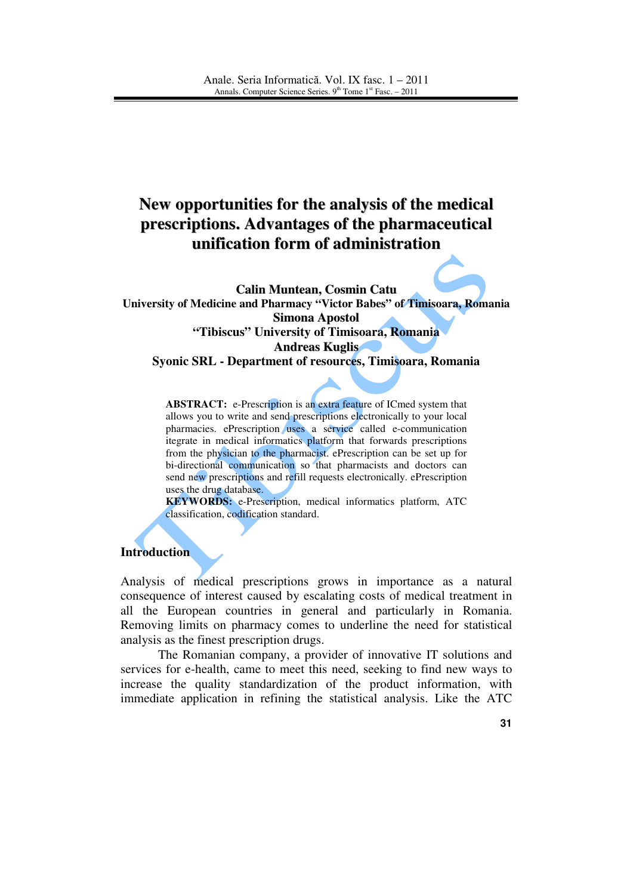# **New opportunities for the analysis of the medical prescriptions. Advantages of the pharmaceutical unification form of administration**

**Calin Muntean, Cosmin Catu University of Medicine and Pharmacy "Victor Babes" of Timisoara, Romania Simona Apostol "Tibiscus" University of Timisoara, Romania Andreas Kuglis Syonic SRL - Department of resources, Timisoara, Romania** 

> **ABSTRACT:** e-Prescription is an extra feature of ICmed system that allows you to write and send prescriptions electronically to your local pharmacies. ePrescription uses a service called e-communication itegrate in medical informatics platform that forwards prescriptions from the physician to the pharmacist. ePrescription can be set up for bi-directional communication so that pharmacists and doctors can send new prescriptions and refill requests electronically. ePrescription uses the drug database.

> **KEYWORDS:** e-Prescription, medical informatics platform, ATC classification, codification standard.

### **Introduction**

Analysis of medical prescriptions grows in importance as a natural consequence of interest caused by escalating costs of medical treatment in all the European countries in general and particularly in Romania. Removing limits on pharmacy comes to underline the need for statistical analysis as the finest prescription drugs.

The Romanian company, a provider of innovative IT solutions and services for e-health, came to meet this need, seeking to find new ways to increase the quality standardization of the product information, with immediate application in refining the statistical analysis. Like the ATC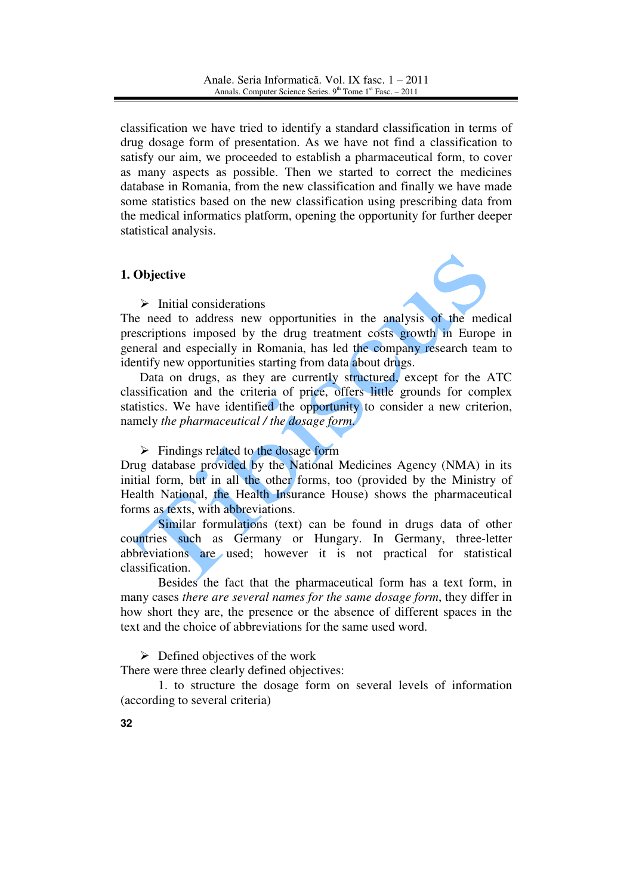classification we have tried to identify a standard classification in terms of drug dosage form of presentation. As we have not find a classification to satisfy our aim, we proceeded to establish a pharmaceutical form, to cover as many aspects as possible. Then we started to correct the medicines database in Romania, from the new classification and finally we have made some statistics based on the new classification using prescribing data from the medical informatics platform, opening the opportunity for further deeper statistical analysis.

## **1. Objective**

 $\triangleright$  Initial considerations



The need to address new opportunities in the analysis of the medical prescriptions imposed by the drug treatment costs growth in Europe in general and especially in Romania, has led the company research team to identify new opportunities starting from data about drugs.

Data on drugs, as they are currently structured, except for the ATC classification and the criteria of price, offers little grounds for complex statistics. We have identified the opportunity to consider a new criterion, namely *the pharmaceutical / the dosage form*.

 $\triangleright$  Findings related to the dosage form

Drug database provided by the National Medicines Agency (NMA) in its initial form, but in all the other forms, too (provided by the Ministry of Health National, the Health Insurance House) shows the pharmaceutical forms as texts, with abbreviations.

Similar formulations (text) can be found in drugs data of other countries such as Germany or Hungary. In Germany, three-letter abbreviations are used; however it is not practical for statistical classification.

Besides the fact that the pharmaceutical form has a text form, in many cases *there are several names for the same dosage form*, they differ in how short they are, the presence or the absence of different spaces in the text and the choice of abbreviations for the same used word.

 $\triangleright$  Defined objectives of the work

There were three clearly defined objectives:

 1. to structure the dosage form on several levels of information (according to several criteria)

**32**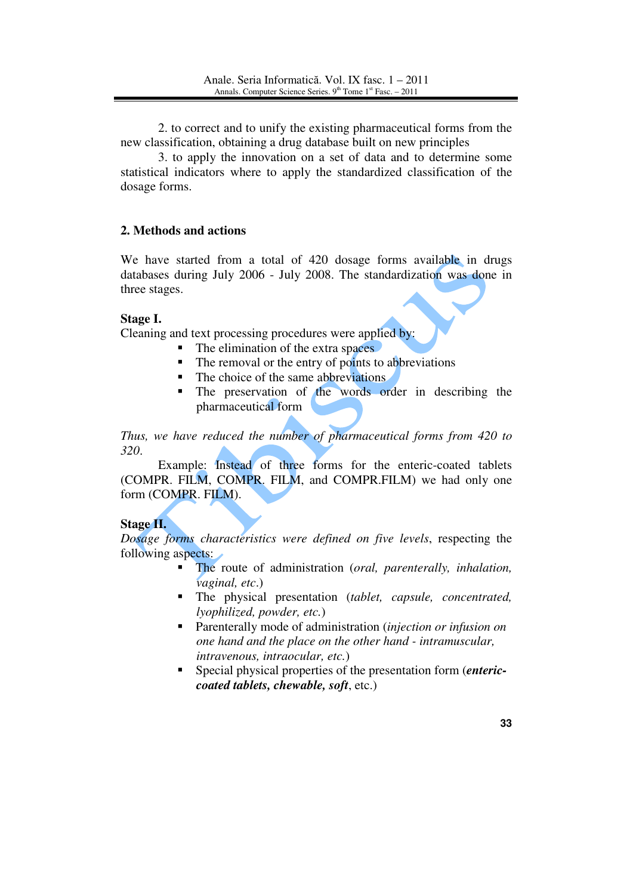2. to correct and to unify the existing pharmaceutical forms from the new classification, obtaining a drug database built on new principles

3. to apply the innovation on a set of data and to determine some statistical indicators where to apply the standardized classification of the dosage forms.

### **2. Methods and actions**

We have started from a total of 420 dosage forms available in drugs databases during July 2006 - July 2008. The standardization was done in three stages.

### **Stage I.**

Cleaning and text processing procedures were applied by:

- The elimination of the extra spaces
- The removal or the entry of points to abbreviations
- The choice of the same abbreviations
- The preservation of the words order in describing the pharmaceutical form

*Thus, we have reduced the number of pharmaceutical forms from 420 to 320*.

Example: Instead of three forms for the enteric-coated tablets (COMPR. FILM, COMPR. FILM, and COMPR.FILM) we had only one form (COMPR. FILM).

## **Stage II.**

*Dosage forms characteristics were defined on five levels*, respecting the following aspects:

- - The route of administration (*oral, parenterally, inhalation, vaginal, etc*.)
- The physical presentation (*tablet, capsule, concentrated, lyophilized, powder, etc.*)
- Parenterally mode of administration (*injection or infusion on one hand and the place on the other hand - intramuscular, intravenous, intraocular, etc.*)
- - Special physical properties of the presentation form (*entericcoated tablets, chewable, soft*, etc.)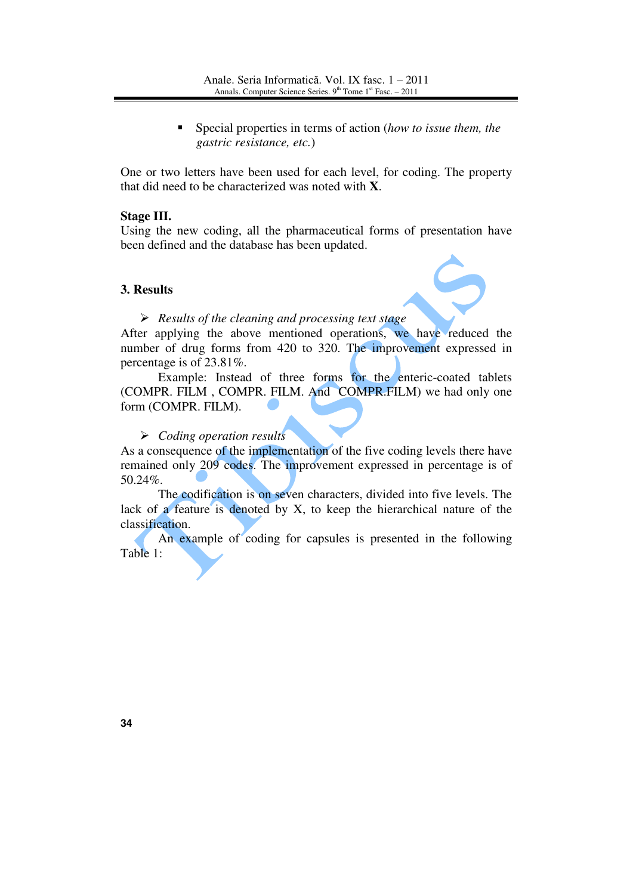- Special properties in terms of action (*how to issue them, the gastric resistance, etc.*)

One or two letters have been used for each level, for coding. The property that did need to be characterized was noted with **X**.

#### **Stage III.**

Using the new coding, all the pharmaceutical forms of presentation have been defined and the database has been updated.

### **3. Results**



 *Results of the cleaning and processing text stage*  After applying the above mentioned operations, we have reduced the number of drug forms from 420 to 320. The improvement expressed in percentage is of 23.81%.

Example: Instead of three forms for the enteric-coated tablets (COMPR. FILM , COMPR. FILM. And COMPR.FILM) we had only one form (COMPR. FILM).

## *Coding operation results*

As a consequence of the implementation of the five coding levels there have remained only 209 codes. The improvement expressed in percentage is of 50.24%.

The codification is on seven characters, divided into five levels. The lack of a feature is denoted by X, to keep the hierarchical nature of the classification.

An example of coding for capsules is presented in the following Table 1: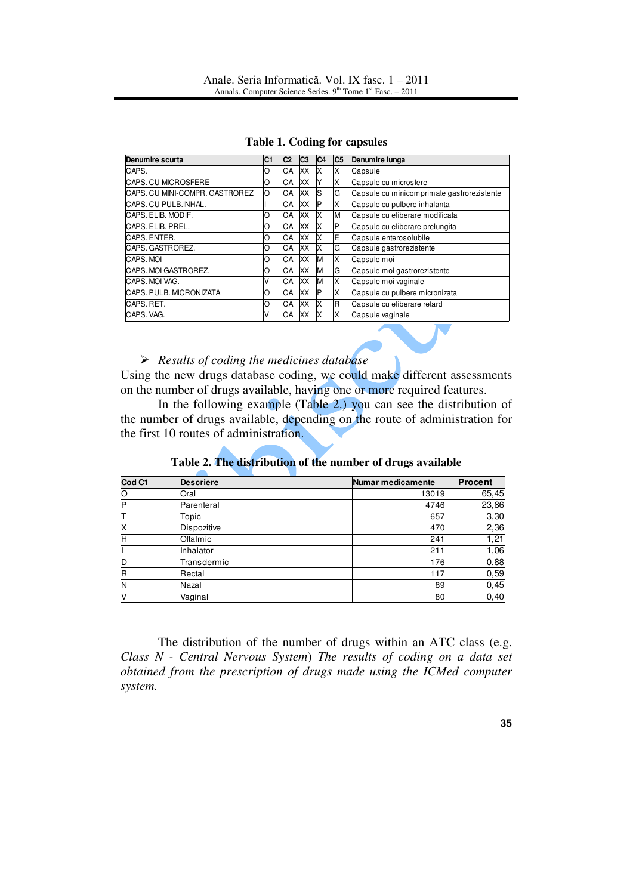|  | <b>Table 1. Coding for capsules</b> |  |
|--|-------------------------------------|--|
|--|-------------------------------------|--|

| <b>Denumire scurta</b>          | C1 | C <sub>2</sub> | C3        | IC4 | C <sub>5</sub> | Denumire lunga                             |
|---------------------------------|----|----------------|-----------|-----|----------------|--------------------------------------------|
| CAPS.                           | O  | СA             | lхх       | ΙX  | X              | Capsule                                    |
| <b>CAPS. CU MICROSFERE</b>      | O  | СA             | <b>XX</b> |     | X              | Capsule cu microsfere                      |
| ICAPS. CU MINI-COMPR. GASTROREZ | O  | CA             | XX        | ls  | G              | Capsule cu minicomprimate gastrorezistente |
| CAPS. CU PULB.INHAL.            |    | СA             | XX        | ΙP  | X              | Capsule cu pulbere inhalanta               |
| CAPS. ELIB. MODIF.              | 0  | CA             | XX        | ΙX  | M              | Capsule cu eliberare modificata            |
| CAPS. ELIB. PREL.               | 0  | CA             | XX        | ΙX  | P              | Capsule cu eliberare prelungita            |
| CAPS, ENTER.                    | O  | СA             | XX        | X   | E              | Capsule enterosolubile                     |
| <b>CAPS. GASTROREZ.</b>         | O  | CA             | <b>XX</b> | ΙX  | G              | Capsule gastrorezistente                   |
| CAPS. MOI                       | O  | СA             | XX        | ΙM  | X              | Capsule moi                                |
| CAPS. MOI GASTROREZ.            | O  | CA             | <b>XX</b> | lм  | G              | Capsule moi gastrorezistente               |
| CAPS, MOI VAG.                  | V  | СA             | <b>XX</b> | lм  | X              | Capsule moi vaginale                       |
| <b>CAPS. PULB. MICRONIZATA</b>  | O  | CA             | <b>XX</b> | P   | ΙX             | Capsule cu pulbere micronizata             |
| CAPS. RET.                      | O  | CA             | XX        | ΙX  | R              | Capsule cu eliberare retard                |
| CAPS, VAG.                      | V  | СA             | lхx       | X   | X              | Capsule vaginale                           |

## *Results of coding the medicines database*

Using the new drugs database coding, we could make different assessments on the number of drugs available, having one or more required features.

In the following example (Table 2.) you can see the distribution of the number of drugs available, depending on the route of administration for the first 10 routes of administration.

| Cod C1 | <b>Descriere</b> | Numar medicamente | <b>Procent</b> |
|--------|------------------|-------------------|----------------|
| 10     | Oral             | 13019             | 65,45          |
| ΙP     | Parenteral       | 4746              | 23,86          |
| т      | Topic            | 657               | 3,30           |
| ΙX     | Dispozitive      | 470               | 2,36           |
| н      | Oftalmic         | 241               | 1,21           |
|        | Inhalator        | 211               | 1,06           |
| ID     | Transdermic      | 176               | 0,88           |
| ΙR     | Rectal           | 117               | 0,59           |
| ΙN     | Nazal            | 89                | 0,45           |
| IV     | Vaginal          | 80                | 0,40           |

**Table 2. The distribution of the number of drugs available**

The distribution of the number of drugs within an ATC class (e.g. *Class N - Central Nervous System*) *The results of coding on a data set obtained from the prescription of drugs made using the ICMed computer system.*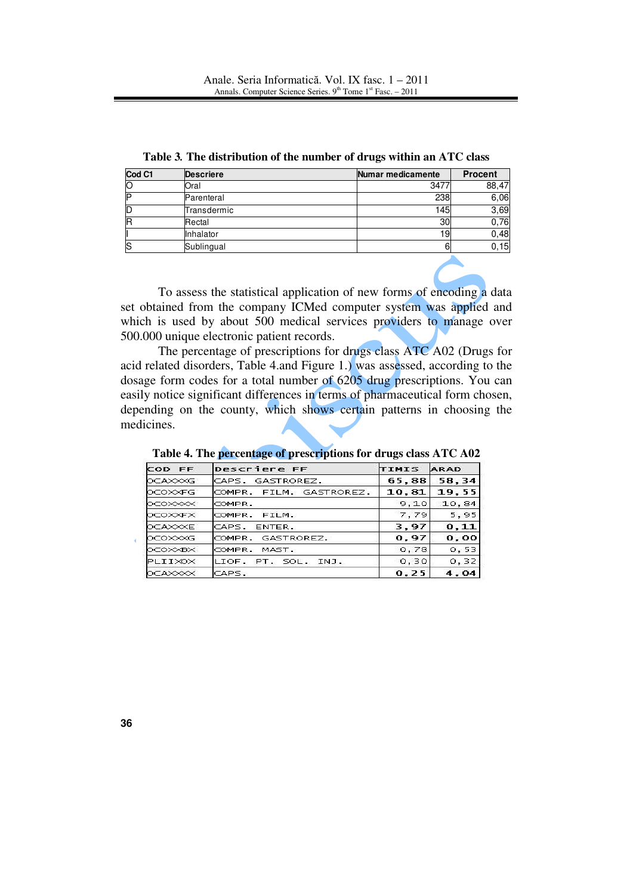| Cod C1 | Descriere   | Numar medicamente | <b>Procent</b> |
|--------|-------------|-------------------|----------------|
|        | IOral       | 3477              | 88,47          |
|        | Parenteral  | 238               | 6,06           |
|        | Transdermic | 145               | 3,69           |
|        | Rectal      | 30                | 0,76           |
|        | Inhalator   | 19                | 0,48           |
|        | Sublingual  | 6                 | 0, 15          |

**Table 3***.* **The distribution of the number of drugs within an ATC class** 

To assess the statistical application of new forms of encoding a data set obtained from the company ICMed computer system was applied and which is used by about 500 medical services providers to manage over 500.000 unique electronic patient records.

The percentage of prescriptions for drugs class ATC A02 (Drugs for acid related disorders, Table 4.and Figure 1.) was assessed, according to the dosage form codes for a total number of 6205 drug prescriptions. You can easily notice significant differences in terms of pharmaceutical form chosen, depending on the county, which shows certain patterns in choosing the medicines.

| Descriere FF<br>COD FF        |                         | TIMIS | <b>ARAD</b> |  |
|-------------------------------|-------------------------|-------|-------------|--|
| <b>OCAXXXG</b>                | CAPS. GASTROREZ.        | 65,88 | 58,34       |  |
| lo⊂o≫⊄FG                      | COMPR. FILM. GASTROREZ. | 10,81 | 19.55       |  |
| <b>OCOXXXX</b>                | COMPR.                  | 9.10  | 10,84       |  |
| <b>OCOXXEX</b>                | COMPR. FILM.            | 7,79  | 5,95        |  |
| <b>OCAXXXE</b>                | CAPS. ENTER.            | 3,97  | 0.11        |  |
| locoxxxG<br>COMPR. GASTROREZ. |                         | 0,97  | 0,00        |  |
| OCOXXBX<br>COMPR. MAST.       |                         | 0,78  | 0, 53       |  |
| PLIIXOX                       | LIOF. PT. SOL. INJ.     | 0, 30 | 0, 32       |  |
| <b>OCAXXXX</b>                | CAPS.                   | 0, 25 | 4,04        |  |

**Table 4. The percentage of prescriptions for drugs class ATC A02**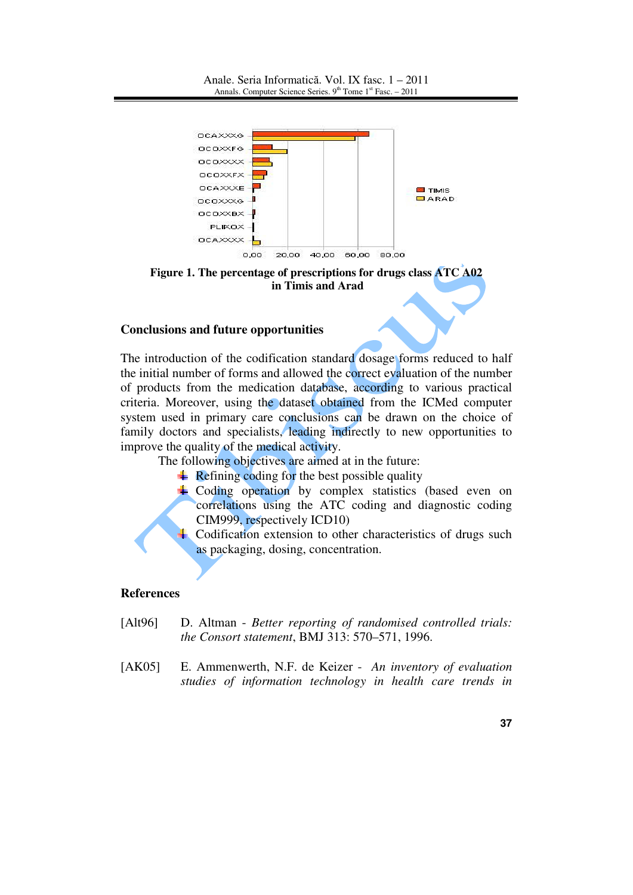Anale. Seria Informatică. Vol. IX fasc. 1 – 2011 Annals. Computer Science Series.  $9<sup>th</sup>$  Tome  $1<sup>st</sup>$  Fasc. – 2011



**Figure 1. The percentage of prescriptions for drugs class ATC A02 in Timis and Arad**

## **Conclusions and future opportunities**

The introduction of the codification standard dosage forms reduced to half the initial number of forms and allowed the correct evaluation of the number of products from the medication database, according to various practical criteria. Moreover, using the dataset obtained from the ICMed computer system used in primary care conclusions can be drawn on the choice of family doctors and specialists, leading indirectly to new opportunities to improve the quality of the medical activity.

The following objectives are aimed at in the future:

- $\overline{\text{Refining coding}}$  for the best possible quality
- $\pm$  Coding operation by complex statistics (based even on correlations using the ATC coding and diagnostic coding CIM999, respectively ICD10)

Codification extension to other characteristics of drugs such as packaging, dosing, concentration.

#### **References**

- [Alt96] D. Altman *Better reporting of randomised controlled trials: the Consort statement*, BMJ 313: 570–571, 1996.
- [AK05] E. Ammenwerth, N.F. de Keizer *An inventory of evaluation studies of information technology in health care trends in*